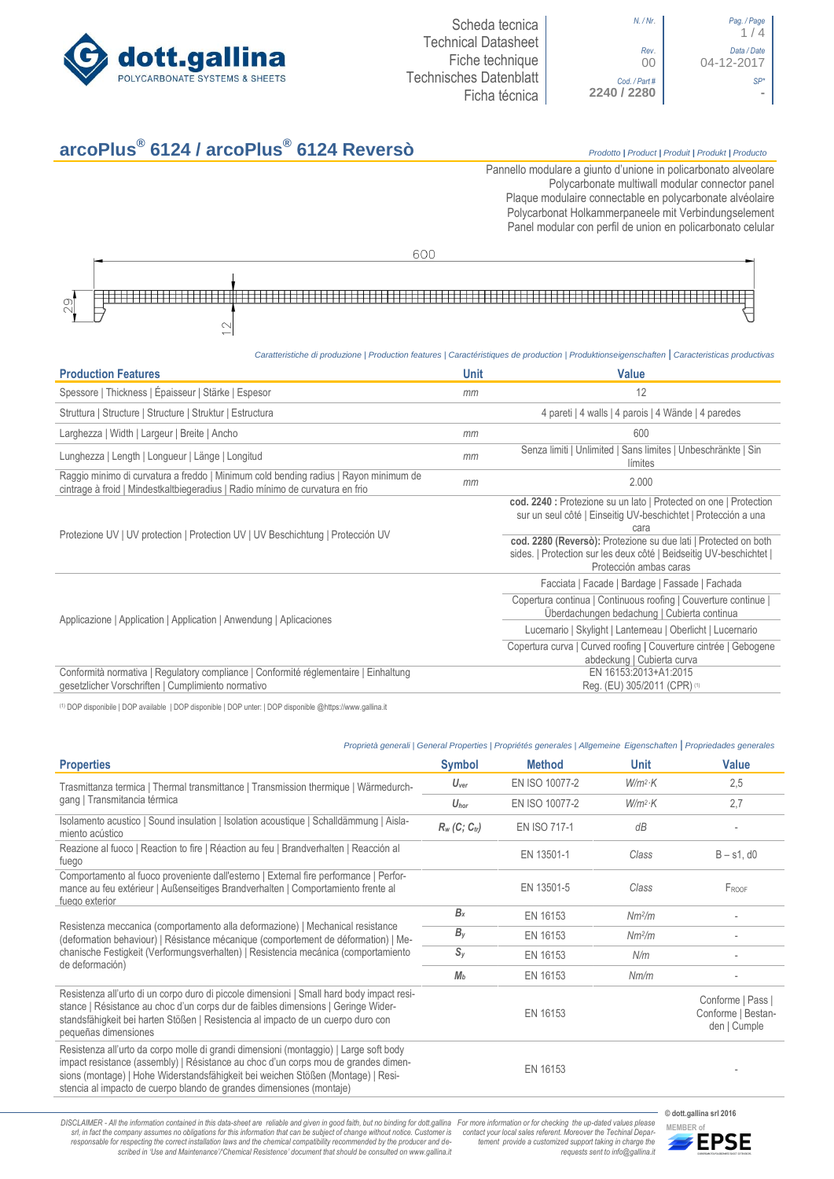

| N. / Nr.                  | Pag. / Page<br>1/4        |
|---------------------------|---------------------------|
| Rev.<br>00                | Data / Date<br>04-12-2017 |
| Cod./Part#<br>2240 / 2280 |                           |

| N. / Nr.               | Pag. / Page<br>1/4        |
|------------------------|---------------------------|
| Rev.<br>00             | Data / Date<br>04-12-2017 |
| Cod. / Part #<br>/2280 |                           |

## **arcoPlus® 6124 / arcoPlus® 6124 Reversò** *Prodotto <sup>|</sup> Product <sup>|</sup> Produit <sup>|</sup> Produkt <sup>|</sup> Producto*

Pannello modulare a giunto d'unione in policarbonato alveolare Polycarbonate multiwall modular connector panel Plaque modulaire connectable en polycarbonate alvéolaire Polycarbonat Holkammerpaneele mit Verbindungselement Panel [modular con perfil de union en](http://www.google.it/url?sa=t&rct=j&q=&esrc=s&source=web&cd=6&ved=0ahUKEwiPyOW6w_3PAhXLORoKHXbkAhUQFggtMAU&url=http%3A%2F%2Fwww.getsl.com%2Fes%2Fmateriales-construccion%2Fsabic-policarbonato%2Fplaca-solida%2Flexan-exell-d-placa-translucida%2F&usg=AFQjCNF4aMpg9CRcF79iWWH-XBKKMH3eWA&bvm=bv.136811127,d.bGs) policarbonato celular

600

# $\frac{1}{2}$

#### *Caratteristiche di produzione | Production features | Caractéristiques de production | Produktionseigenschaften* **|** *Caracteristicas productivas*

| <b>Production Features</b>                                                                                                                                            | <b>Unit</b> | <b>Value</b>                                                                                                                                                     |
|-----------------------------------------------------------------------------------------------------------------------------------------------------------------------|-------------|------------------------------------------------------------------------------------------------------------------------------------------------------------------|
| Spessore   Thickness   Épaisseur   Stärke   Espesor                                                                                                                   | mm          | 12                                                                                                                                                               |
| Struttura   Structure   Structure   Struktur   Estructura                                                                                                             |             | 4 pareti   4 walls   4 parois   4 Wände   4 paredes                                                                                                              |
| Larghezza   Width   Largeur   Breite   Ancho                                                                                                                          | mm          | 600                                                                                                                                                              |
| Lunghezza   Length   Longueur   Länge   Longitud                                                                                                                      | mm          | Senza limiti   Unlimited   Sans limites   Unbeschränkte   Sin<br>límites                                                                                         |
| Raggio minimo di curvatura a freddo   Minimum cold bending radius   Rayon minimum de<br>cintrage à froid   Mindestkaltbiegeradius   Radio mínimo de curvatura en frio | mm          | 2.000                                                                                                                                                            |
|                                                                                                                                                                       |             | cod. 2240 : Protezione su un lato   Protected on one   Protection<br>sur un seul côté   Einseitig UV-beschichtet   Protección a una<br>cara                      |
| Protezione UV   UV protection   Protection UV   UV Beschichtung   Protección UV                                                                                       |             | cod. 2280 (Reversò): Protezione su due lati   Protected on both<br>sides.   Protection sur les deux côté   Beidseitig UV-beschichtet  <br>Protección ambas caras |
|                                                                                                                                                                       |             | Facciata   Facade   Bardage   Fassade   Fachada                                                                                                                  |
| Applicazione   Application   Application   Anwendung   Aplicaciones                                                                                                   |             | Copertura continua   Continuous roofing   Couverture continue  <br>Uberdachungen bedachung   Cubierta continua                                                   |
|                                                                                                                                                                       |             | Lucernario   Skylight   Lanterneau   Oberlicht   Lucernario                                                                                                      |
|                                                                                                                                                                       |             | Copertura curva   Curved roofing   Couverture cintrée   Gebogene<br>abdeckung   Cubierta curva                                                                   |
| Conformità normativa   Regulatory compliance   Conformité réglementaire   Einhaltung<br>gesetzlicher Vorschriften   Cumplimiento normativo                            |             | EN 16153:2013+A1:2015<br>Reg. (EU) 305/2011 (CPR) (1)                                                                                                            |

(1) DOP disponibile | DOP available | DOP disponible | DOP unter: | DOP disponible @https://www.gallina.it

#### *Proprietà generali | General Properties | Propriétés generales | Allgemeine Eigenschaften* **|** *Propriedades generales*

|                                                                                                                                                                                                                                                                                                                                         |                  | <u>Fropheid generall   General Fropehies   Fropheies generales   Aligenheine Eigenschaften   Fropheidages generales</u> |                    |                                                         |
|-----------------------------------------------------------------------------------------------------------------------------------------------------------------------------------------------------------------------------------------------------------------------------------------------------------------------------------------|------------------|-------------------------------------------------------------------------------------------------------------------------|--------------------|---------------------------------------------------------|
| <b>Properties</b>                                                                                                                                                                                                                                                                                                                       | <b>Symbol</b>    | <b>Method</b>                                                                                                           | Unit               | <b>Value</b>                                            |
| Trasmittanza termica   Thermal transmittance   Transmission thermique   Wärmedurch-                                                                                                                                                                                                                                                     | $U_{\text{ver}}$ | EN ISO 10077-2                                                                                                          | $W/m^2$ K          | 2,5                                                     |
| gang   Transmitancia térmica                                                                                                                                                                                                                                                                                                            | $U_{\text{hor}}$ | EN ISO 10077-2                                                                                                          | $W/m^2$ K          | 2,7                                                     |
| Isolamento acustico   Sound insulation   Isolation acoustique   Schalldämmung   Aisla-<br>miento acústico                                                                                                                                                                                                                               | $R_w$ (C; Ctr)   | <b>EN ISO 717-1</b>                                                                                                     | dB                 |                                                         |
| Reazione al fuoco   Reaction to fire   Réaction au feu   Brandverhalten   Reacción al<br>fuego                                                                                                                                                                                                                                          |                  | EN 13501-1                                                                                                              | Class              | $B - s1$ , d $0$                                        |
| Comportamento al fuoco proveniente dall'esterno   External fire performance   Perfor-<br>mance au feu extérieur   Außenseitiges Brandverhalten   Comportamiento frente al<br>fuego exterior                                                                                                                                             |                  | EN 13501-5                                                                                                              | Class              | FROOF                                                   |
|                                                                                                                                                                                                                                                                                                                                         | $B_x$            | EN 16153                                                                                                                | Nm <sup>2</sup> /m |                                                         |
| Resistenza meccanica (comportamento alla deformazione)   Mechanical resistance<br>(deformation behaviour)   Résistance mécanique (comportement de déformation)   Me-<br>chanische Festigkeit (Verformungsverhalten)   Resistencia mecánica (comportamiento                                                                              | $B_{v}$          | EN 16153                                                                                                                | Nm <sup>2</sup> /m |                                                         |
|                                                                                                                                                                                                                                                                                                                                         | $S_{V}$          | EN 16153                                                                                                                | N/m                |                                                         |
| de deformación)                                                                                                                                                                                                                                                                                                                         | M <sub>b</sub>   | EN 16153                                                                                                                | Nm/m               |                                                         |
| Resistenza all'urto di un corpo duro di piccole dimensioni   Small hard body impact resi-<br>stance   Résistance au choc d'un corps dur de faibles dimensions   Geringe Wider-<br>standsfähigkeit bei harten Stößen   Resistencia al impacto de un cuerpo duro con<br>pequeñas dimensiones                                              |                  | EN 16153                                                                                                                |                    | Conforme   Pass  <br>Conforme   Bestan-<br>den   Cumple |
| Resistenza all'urto da corpo molle di grandi dimensioni (montaggio)   Large soft body<br>impact resistance (assembly)   Résistance au choc d'un corps mou de grandes dimen-<br>sions (montage)   Hohe Widerstandsfähigkeit bei weichen Stößen (Montage)   Resi-<br>stencia al impacto de cuerpo blando de grandes dimensiones (montaje) |                  | EN 16153                                                                                                                |                    |                                                         |
|                                                                                                                                                                                                                                                                                                                                         |                  |                                                                                                                         |                    | © dott.gallina srl 2016                                 |

DISCLAIMER - All the information contained in this data-sheet are reliable and given in good faith, but no binding for dott.gallina For more information or for checking the up-dated values please<br>-srl, in fact the company -responsable for respecting the correct installation laws and the chemical compatibility recommended by the producer and de-<br>scribed in 'Use and Maintenance'/'Chemical Resistence' document that should be consulted on www.g

*tement provide a customized support taking in charge the requests sent to info@gallina.it*

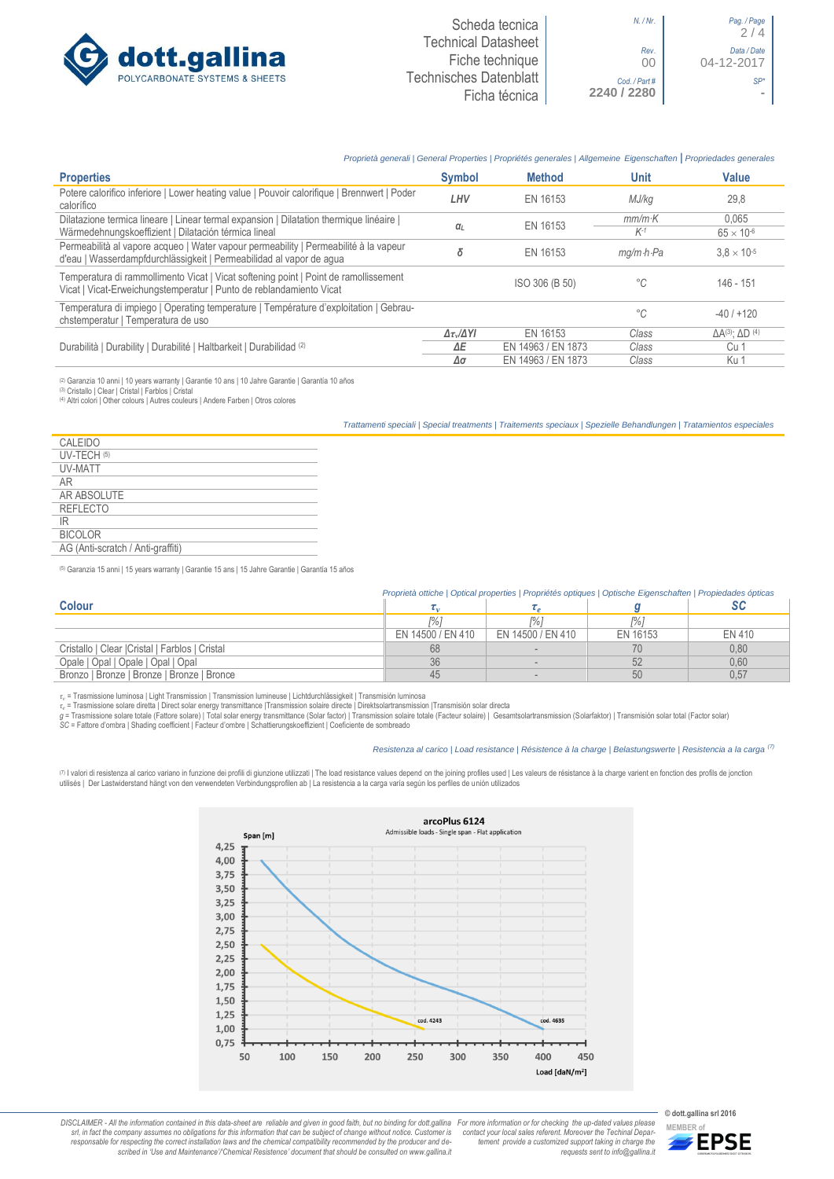

### *Proprietà generali | General Properties | Propriétés generales | Allgemeine Eigenschaften* **|** *Propriedades generales*

| <b>Properties</b>                                                                                                                                           | <b>Symbol</b>              | <b>Method</b>      | Unit                    | <b>Value</b>                        |
|-------------------------------------------------------------------------------------------------------------------------------------------------------------|----------------------------|--------------------|-------------------------|-------------------------------------|
| Potere calorifico inferiore   Lower heating value   Pouvoir calorifique   Brennwert   Poder<br>calorífico                                                   | LHV                        | EN 16153           | MJ/kg                   | 29.8                                |
| Dilatazione termica lineare   Linear termal expansion   Dilatation thermique linéaire                                                                       |                            | EN 16153           | $mm/m$ K                | 0.065                               |
| Wärmedehnungskoeffizient   Dilatación térmica lineal                                                                                                        | $\alpha$                   |                    | $K-1$                   | $65 \times 10^{-6}$                 |
| Permeabilità al vapore acqueo   Water vapour permeability   Permeabilité à la vapeur<br>d'eau   Wasserdampfdurchlässigkeit   Permeabilidad al vapor de agua | δ                          | EN 16153           | $mq/m \cdot h \cdot Pa$ | $3.8 \times 10^{-5}$                |
| Temperatura di rammollimento Vicat   Vicat softening point   Point de ramollissement<br>Vicat   Vicat-Erweichungstemperatur   Punto de reblandamiento Vicat |                            | ISO 306 (B 50)     | °C                      | 146 - 151                           |
| Temperatura di impiego   Operating temperature   Température d'exploitation   Gebrau-<br>chstemperatur   Temperatura de uso                                 |                            |                    | °C                      | $-40/+120$                          |
|                                                                                                                                                             | $\Delta \tau_v/\Delta Y I$ | FN 16153           | Class                   | $\Delta A^{(3)}$ : $\Delta D^{(4)}$ |
| Durabilità   Durability   Durabilité   Haltbarkeit   Durabilidad (2)                                                                                        | ΔE                         | EN 14963 / EN 1873 | Class                   | Cu 1                                |
|                                                                                                                                                             | Δσ                         | EN 14963 / EN 1873 | Class                   | Ku 1                                |

@ Garanzia 10 anni | 10 years warranty | Garantie 10 ans | 10 Jahre Garantie | Garantia 10 años<br>@ Cristallo | Clear | Cristal | Farblos | Cristal<br>@ Altri colori | Other colours | Autres couleurs | Andere Farben | Otros co

*Trattamenti speciali | Special treatments | Traitements speciaux | Spezielle Behandlungen | Tratamientos especiales*

| CALEIDO                           |  |
|-----------------------------------|--|
| UV-TECH (5)                       |  |
| <b>UV-MATT</b>                    |  |
| AR                                |  |
| AR ABSOLUTE                       |  |
| <b>REFLECTO</b>                   |  |
| IR                                |  |
| <b>BICOLOR</b>                    |  |
| AG (Anti-scratch / Anti-graffiti) |  |
|                                   |  |

(5) Garanzia 15 anni | 15 years warranty | Garantie 15 ans | 15 Jahre Garantie | Garantía 15 años

|                                                 | Proprietà ottiche   Optical properties   Propriétés optiques   Optische Eigenschaften   Propiedades ópticas |                   |          |        |
|-------------------------------------------------|-------------------------------------------------------------------------------------------------------------|-------------------|----------|--------|
| <b>Colour</b>                                   |                                                                                                             |                   |          |        |
|                                                 |                                                                                                             | r%'               | 1% ì     |        |
|                                                 | EN 14500 / EN 410                                                                                           | EN 14500 / EN 410 | EN 16153 | EN 410 |
| Cristallo   Clear   Cristal   Farblos   Cristal | 68                                                                                                          |                   |          | 0.80   |
| Opale   Opal   Opale   Opal   Opal              | 36                                                                                                          |                   | 52       | 0,60   |
| Bronzo   Bronze   Bronze   Bronze   Bronce      | 45                                                                                                          |                   | 50       | 0,57   |

*τ<sup>v</sup>* = Trasmissione luminosa | Light Transmission | Transmission lumineuse | Lichtdurchlässigkeit | Transmisión luminosa

r<sub>c</sub> = Trasmissione solare diretta | Direct solar energy transmittance |Transmission solaire directe | Direktsolartransmission |Transmisión solar directa<br>g = Trasmissione solare totale (Fattore solare) | Total solar benef

#### *Resistenza al carico | Load resistance | Résistence à la charge | Belastungswerte | Resistencia a la carga (7)*

(⊓ I valori di resistenza al carico variano in funzione dei profili di giunzione utilizzati | The load resistance values depend on the joining profiles used | Les valeurs de résistance à la charge varient en fonction des



DISCLAIMER - All the information contained in this data-sheet are reliable and given in good faith, but no binding for dott.gallina For more information or for checking the up-dated values please<br>-srl, in fact the company -responsable for respecting the correct installation laws and the chemical compatibility recommended by the producer and de-<br>scribed in 'Use and Maintenance'/'Chemical Resistence' document that should be consulted on www.g *tement provide a customized support taking in charge the requests sent to info@gallina.it*



**MEMBER of**<br>**MEMBER of**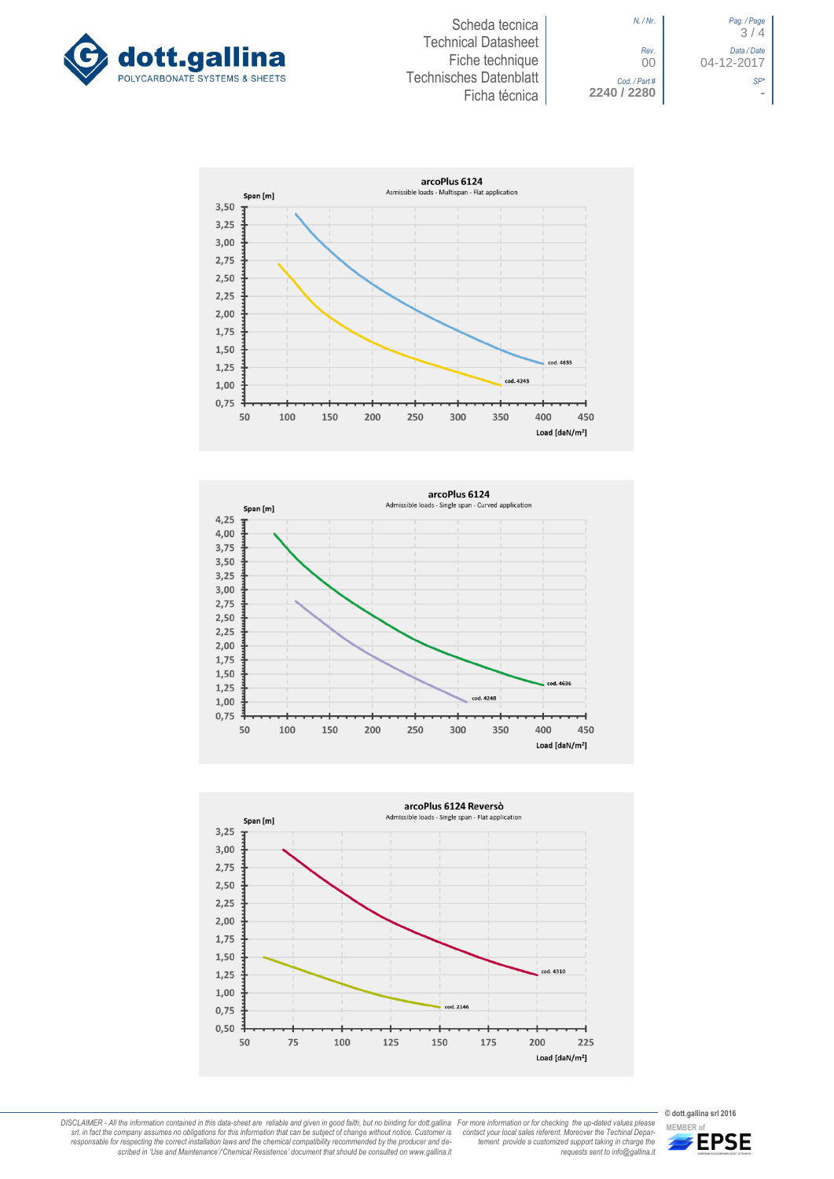



*N. / Nr*. *Pag. / Page* 3 / 4 *Rev*. *Data / Date* 00 04-12-2017 *Cod. / Part # SP\**









DISCLAIMER - All the information contained in this data-sheet are reliable and given in good faith, but no binding for dott.gallina For more information or for checking the up-dated values please<br>-srl, in fact the company -responsable for respecting the correct installation laws and the chemical compatibility recommended by the producer and de-<br>scribed in 'Use and Maintenance'/'Chemical Resistence' document that should be consulted on www.g